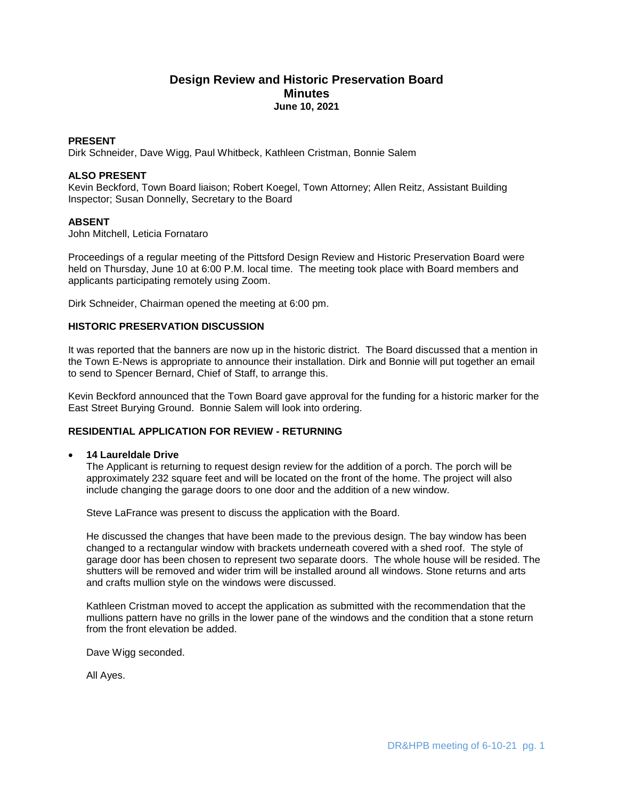# **Design Review and Historic Preservation Board Minutes June 10, 2021**

# **PRESENT**

Dirk Schneider, Dave Wigg, Paul Whitbeck, Kathleen Cristman, Bonnie Salem

## **ALSO PRESENT**

Kevin Beckford, Town Board liaison; Robert Koegel, Town Attorney; Allen Reitz, Assistant Building Inspector; Susan Donnelly, Secretary to the Board

# **ABSENT**

John Mitchell, Leticia Fornataro

Proceedings of a regular meeting of the Pittsford Design Review and Historic Preservation Board were held on Thursday, June 10 at 6:00 P.M. local time. The meeting took place with Board members and applicants participating remotely using Zoom.

Dirk Schneider, Chairman opened the meeting at 6:00 pm.

#### **HISTORIC PRESERVATION DISCUSSION**

It was reported that the banners are now up in the historic district. The Board discussed that a mention in the Town E-News is appropriate to announce their installation. Dirk and Bonnie will put together an email to send to Spencer Bernard, Chief of Staff, to arrange this.

Kevin Beckford announced that the Town Board gave approval for the funding for a historic marker for the East Street Burying Ground. Bonnie Salem will look into ordering.

# **RESIDENTIAL APPLICATION FOR REVIEW - RETURNING**

#### **14 Laureldale Drive**

The Applicant is returning to request design review for the addition of a porch. The porch will be approximately 232 square feet and will be located on the front of the home. The project will also include changing the garage doors to one door and the addition of a new window.

Steve LaFrance was present to discuss the application with the Board.

He discussed the changes that have been made to the previous design. The bay window has been changed to a rectangular window with brackets underneath covered with a shed roof. The style of garage door has been chosen to represent two separate doors. The whole house will be resided. The shutters will be removed and wider trim will be installed around all windows. Stone returns and arts and crafts mullion style on the windows were discussed.

Kathleen Cristman moved to accept the application as submitted with the recommendation that the mullions pattern have no grills in the lower pane of the windows and the condition that a stone return from the front elevation be added.

Dave Wigg seconded.

All Ayes.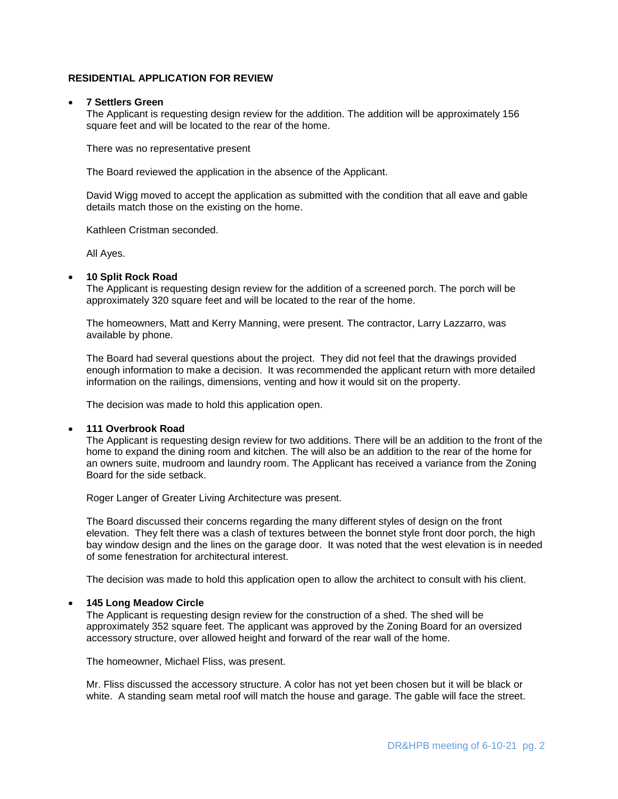# **RESIDENTIAL APPLICATION FOR REVIEW**

### **7 Settlers Green**

The Applicant is requesting design review for the addition. The addition will be approximately 156 square feet and will be located to the rear of the home.

There was no representative present

The Board reviewed the application in the absence of the Applicant.

David Wigg moved to accept the application as submitted with the condition that all eave and gable details match those on the existing on the home.

Kathleen Cristman seconded.

All Ayes.

### **10 Split Rock Road**

The Applicant is requesting design review for the addition of a screened porch. The porch will be approximately 320 square feet and will be located to the rear of the home.

The homeowners, Matt and Kerry Manning, were present. The contractor, Larry Lazzarro, was available by phone.

The Board had several questions about the project. They did not feel that the drawings provided enough information to make a decision. It was recommended the applicant return with more detailed information on the railings, dimensions, venting and how it would sit on the property.

The decision was made to hold this application open.

#### **111 Overbrook Road**

The Applicant is requesting design review for two additions. There will be an addition to the front of the home to expand the dining room and kitchen. The will also be an addition to the rear of the home for an owners suite, mudroom and laundry room. The Applicant has received a variance from the Zoning Board for the side setback.

Roger Langer of Greater Living Architecture was present.

The Board discussed their concerns regarding the many different styles of design on the front elevation. They felt there was a clash of textures between the bonnet style front door porch, the high bay window design and the lines on the garage door. It was noted that the west elevation is in needed of some fenestration for architectural interest.

The decision was made to hold this application open to allow the architect to consult with his client.

#### **145 Long Meadow Circle**

The Applicant is requesting design review for the construction of a shed. The shed will be approximately 352 square feet. The applicant was approved by the Zoning Board for an oversized accessory structure, over allowed height and forward of the rear wall of the home.

The homeowner, Michael Fliss, was present.

Mr. Fliss discussed the accessory structure. A color has not yet been chosen but it will be black or white. A standing seam metal roof will match the house and garage. The gable will face the street.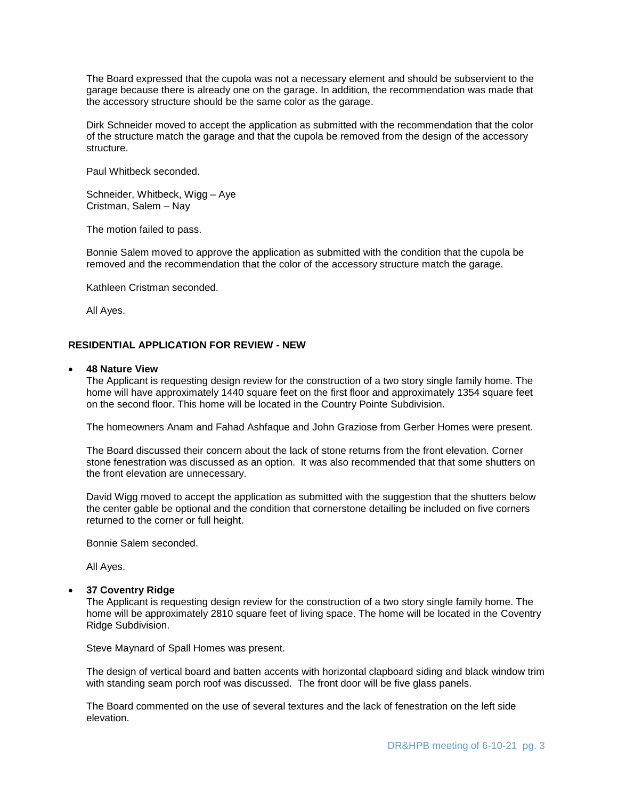The Board expressed that the cupola was not a necessary element and should be subservient to the garage because there is already one on the garage. In addition, the recommendation was made that the accessory structure should be the same color as the garage.

Dirk Schneider moved to accept the application as submitted with the recommendation that the color of the structure match the garage and that the cupola be removed from the design of the accessory structure.

Paul Whitbeck seconded.

Schneider, Whitbeck, Wigg – Aye Cristman, Salem – Nay

The motion failed to pass.

Bonnie Salem moved to approve the application as submitted with the condition that the cupola be removed and the recommendation that the color of the accessory structure match the garage.

Kathleen Cristman seconded.

All Ayes.

# **RESIDENTIAL APPLICATION FOR REVIEW - NEW**

### **48 Nature View**

The Applicant is requesting design review for the construction of a two story single family home. The home will have approximately 1440 square feet on the first floor and approximately 1354 square feet on the second floor. This home will be located in the Country Pointe Subdivision.

The homeowners Anam and Fahad Ashfaque and John Graziose from Gerber Homes were present.

The Board discussed their concern about the lack of stone returns from the front elevation. Corner stone fenestration was discussed as an option. It was also recommended that that some shutters on the front elevation are unnecessary.

David Wigg moved to accept the application as submitted with the suggestion that the shutters below the center gable be optional and the condition that cornerstone detailing be included on five corners returned to the corner or full height.

Bonnie Salem seconded.

All Ayes.

# **37 Coventry Ridge**

The Applicant is requesting design review for the construction of a two story single family home. The home will be approximately 2810 square feet of living space. The home will be located in the Coventry Ridge Subdivision.

Steve Maynard of Spall Homes was present.

The design of vertical board and batten accents with horizontal clapboard siding and black window trim with standing seam porch roof was discussed. The front door will be five glass panels.

The Board commented on the use of several textures and the lack of fenestration on the left side elevation.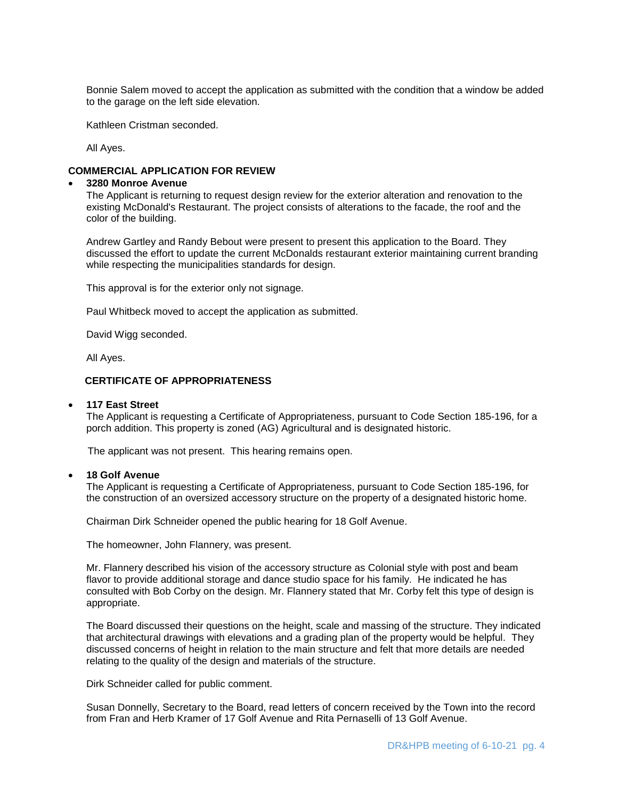Bonnie Salem moved to accept the application as submitted with the condition that a window be added to the garage on the left side elevation.

Kathleen Cristman seconded.

All Ayes.

# **COMMERCIAL APPLICATION FOR REVIEW**

#### **3280 Monroe Avenue**

The Applicant is returning to request design review for the exterior alteration and renovation to the existing McDonald's Restaurant. The project consists of alterations to the facade, the roof and the color of the building.

Andrew Gartley and Randy Bebout were present to present this application to the Board. They discussed the effort to update the current McDonalds restaurant exterior maintaining current branding while respecting the municipalities standards for design.

This approval is for the exterior only not signage.

Paul Whitbeck moved to accept the application as submitted.

David Wigg seconded.

All Ayes.

# **CERTIFICATE OF APPROPRIATENESS**

#### **117 East Street**

The Applicant is requesting a Certificate of Appropriateness, pursuant to Code Section 185-196, for a porch addition. This property is zoned (AG) Agricultural and is designated historic.

The applicant was not present. This hearing remains open.

# **18 Golf Avenue**

The Applicant is requesting a Certificate of Appropriateness, pursuant to Code Section 185-196, for the construction of an oversized accessory structure on the property of a designated historic home.

Chairman Dirk Schneider opened the public hearing for 18 Golf Avenue.

The homeowner, John Flannery, was present.

Mr. Flannery described his vision of the accessory structure as Colonial style with post and beam flavor to provide additional storage and dance studio space for his family. He indicated he has consulted with Bob Corby on the design. Mr. Flannery stated that Mr. Corby felt this type of design is appropriate.

The Board discussed their questions on the height, scale and massing of the structure. They indicated that architectural drawings with elevations and a grading plan of the property would be helpful. They discussed concerns of height in relation to the main structure and felt that more details are needed relating to the quality of the design and materials of the structure.

Dirk Schneider called for public comment.

Susan Donnelly, Secretary to the Board, read letters of concern received by the Town into the record from Fran and Herb Kramer of 17 Golf Avenue and Rita Pernaselli of 13 Golf Avenue.